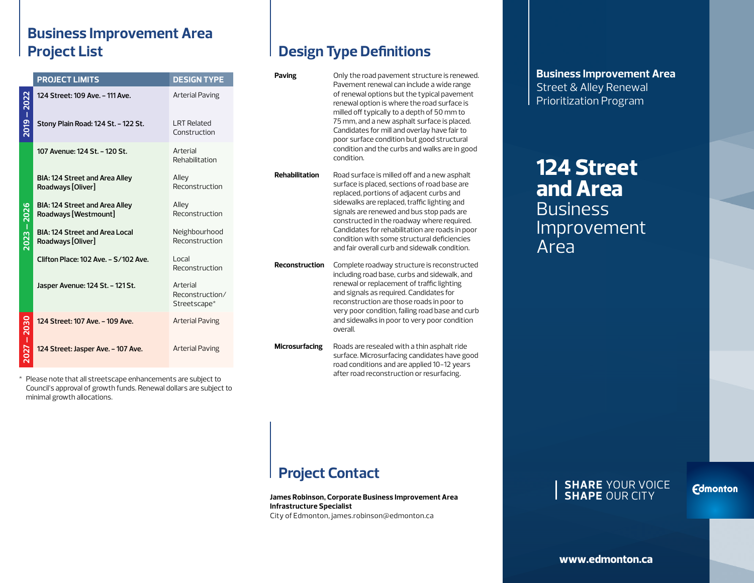#### **Business Improvement Area Project List**

|             | <b>PROJECT LIMITS</b>                                      | <b>DESIGN TYPE</b>                          |
|-------------|------------------------------------------------------------|---------------------------------------------|
| 2019 – 2022 | 124 Street: 109 Ave. - 111 Ave.                            | Arterial Paving                             |
|             | Stony Plain Road: 124 St. - 122 St.                        | <b>LRT Related</b><br>Construction          |
| 2023 - 2026 | 107 Avenue: 124 St. - 120 St.                              | Arterial<br>Rehabilitation                  |
|             | BIA: 124 Street and Area Alley<br>Roadways [Oliver]        | Alley<br>Reconstruction                     |
|             | BIA: 124 Street and Area Alley<br>Roadways [Westmount]     | Alley<br>Reconstruction                     |
|             | <b>BIA: 124 Street and Area Local</b><br>Roadways [Oliver] | Neighbourhood<br>Reconstruction             |
|             | Clifton Place: 102 Ave. - S/102 Ave.                       | Local<br>Reconstruction                     |
|             | Jasper Avenue: 124 St. - 121 St.                           | Arterial<br>Reconstruction/<br>Streetscape* |
| $-2030$     | 124 Street: 107 Ave. - 109 Ave.                            | Arterial Paving                             |
| 2027        | 124 Street: Jasper Ave. - 107 Ave.                         | <b>Arterial Paving</b>                      |

\* Please note that all streetscape enhancements are subject to Council's approval of growth funds. Renewal dollars are subject to minimal growth allocations.

### **Design Type Definitions**

| Paving                | Only the road pavement structure is renewed.<br>Pavement renewal can include a wide range<br>of renewal options but the typical pavement<br>renewal option is where the road surface is<br>milled off typically to a depth of 50 mm to<br>75 mm, and a new asphalt surface is placed.<br>Candidates for mill and overlay have fair to<br>poor surface condition but good structural<br>condition and the curbs and walks are in good<br>condition. |
|-----------------------|----------------------------------------------------------------------------------------------------------------------------------------------------------------------------------------------------------------------------------------------------------------------------------------------------------------------------------------------------------------------------------------------------------------------------------------------------|
| <b>Rehabilitation</b> | Road surface is milled off and a new asphalt<br>surface is placed, sections of road base are<br>replaced, portions of adjacent curbs and<br>sidewalks are replaced, traffic lighting and<br>signals are renewed and bus stop pads are<br>constructed in the roadway where required.<br>Candidates for rehabilitation are roads in poor<br>condition with some structural deficiencies<br>and fair overall curb and sidewalk condition.             |
| <b>Reconstruction</b> | Complete roadway structure is reconstructed<br>including road base, curbs and sidewalk, and<br>renewal or replacement of traffic lighting<br>and signals as required. Candidates for<br>reconstruction are those roads in poor to<br>very poor condition, failing road base and curb<br>and sidewalks in poor to very poor condition<br>overall.                                                                                                   |
| <b>Microsurfacing</b> | Roads are resealed with a thin asphalt ride<br>surface. Microsurfacing candidates have good<br>road conditions and are applied 10-12 years<br>after road reconstruction or resurfacing.                                                                                                                                                                                                                                                            |

**Business Improvement Area** Street & Alley Renewal Prioritization Program

## **124 Street and Area Business** Improvement Area

### **Project Contact**

**James Robinson, Corporate Business Improvement Area Infrastructure Specialist** City of Edmonton, james.robinson@edmonton.ca

#### **SHARE** YOUR VOICE **SHAPE** OUR CITY

**Edmonton** 

**www.edmonton.ca**